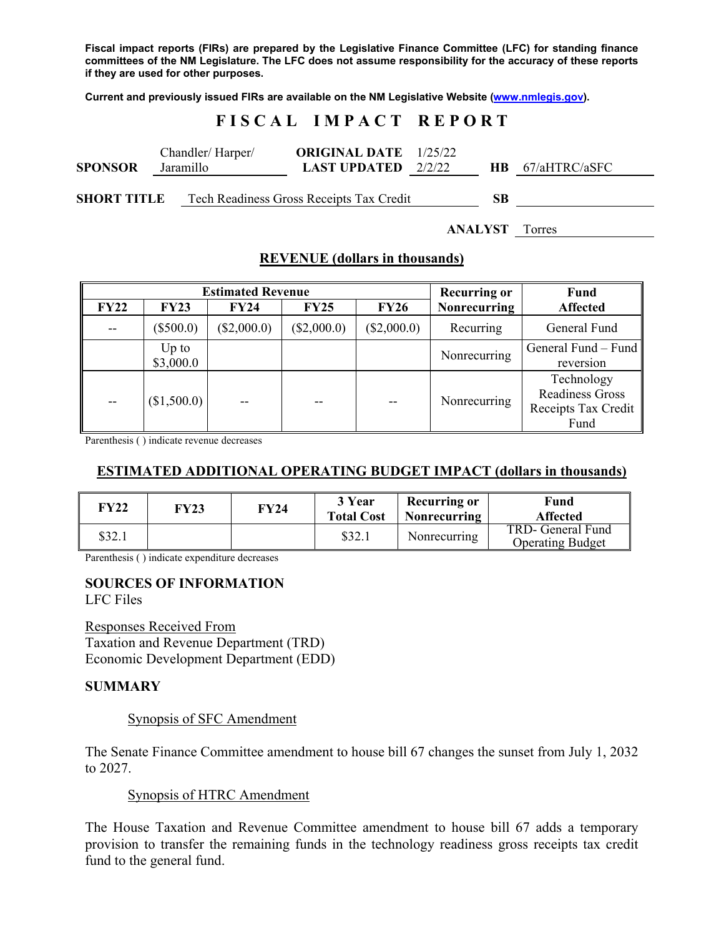**Fiscal impact reports (FIRs) are prepared by the Legislative Finance Committee (LFC) for standing finance committees of the NM Legislature. The LFC does not assume responsibility for the accuracy of these reports if they are used for other purposes.** 

**Current and previously issued FIRs are available on the NM Legislative Website (www.nmlegis.gov).** 

# **F I S C A L I M P A C T R E P O R T**

| <b>SPONSOR</b>     | Chandler/Harper/<br>Jaramillo |  | <b>ORIGINAL DATE</b> 1/25/22<br><b>LAST UPDATED</b> $2/2/22$ |    | $HB$ 67/aHTRC/aSFC |  |
|--------------------|-------------------------------|--|--------------------------------------------------------------|----|--------------------|--|
| <b>SHORT TITLE</b> |                               |  | Tech Readiness Gross Receipts Tax Credit                     | SВ |                    |  |

**ANALYST** Torres

### **REVENUE (dollars in thousands)**

|             |                      | <b>Estimated Revenue</b> | <b>Recurring or</b> | <b>Fund</b> |                     |                                                                     |
|-------------|----------------------|--------------------------|---------------------|-------------|---------------------|---------------------------------------------------------------------|
| <b>FY22</b> | <b>FY23</b>          | <b>FY24</b>              | <b>FY25</b>         | <b>FY26</b> | <b>Nonrecurring</b> | <b>Affected</b>                                                     |
| $- -$       | $(\$500.0)$          | $(\$2,000.0)$            | $(\$2,000.0)$       | (\$2,000.0) | Recurring           | General Fund                                                        |
|             | $Up$ to<br>\$3,000.0 |                          |                     |             | Nonrecurring        | General Fund – Fund<br>reversion                                    |
| $- -$       | (\$1,500.0)          |                          |                     |             | Nonrecurring        | Technology<br><b>Readiness Gross</b><br>Receipts Tax Credit<br>Fund |

Parenthesis ( ) indicate revenue decreases

## **ESTIMATED ADDITIONAL OPERATING BUDGET IMPACT (dollars in thousands)**

| FY22   | <b>FY23</b> | FY24 | 3 Year<br><b>Total Cost</b> | Recurring or<br>Nonrecurring | Fund<br><b>Affected</b>                      |
|--------|-------------|------|-----------------------------|------------------------------|----------------------------------------------|
| \$32.1 |             |      | \$32.1                      | Nonrecurring                 | TRD- General Fund<br><b>Operating Budget</b> |

Parenthesis ( ) indicate expenditure decreases

### **SOURCES OF INFORMATION**

LFC Files

Responses Received From Taxation and Revenue Department (TRD) Economic Development Department (EDD)

#### **SUMMARY**

#### Synopsis of SFC Amendment

The Senate Finance Committee amendment to house bill 67 changes the sunset from July 1, 2032 to 2027.

#### Synopsis of HTRC Amendment

The House Taxation and Revenue Committee amendment to house bill 67 adds a temporary provision to transfer the remaining funds in the technology readiness gross receipts tax credit fund to the general fund.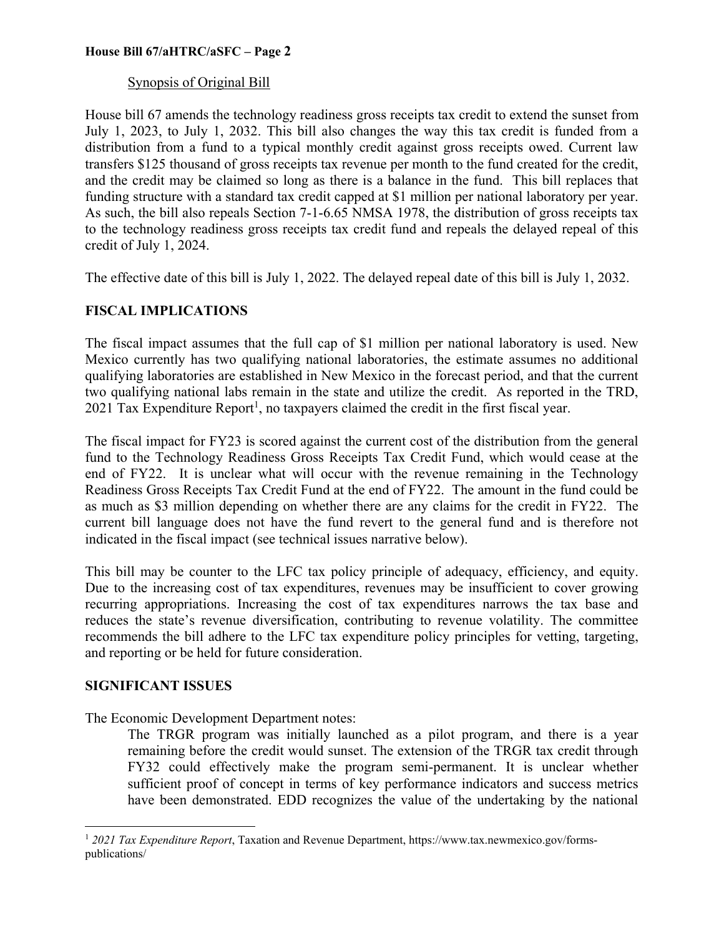## **House Bill 67/aHTRC/aSFC – Page 2**

## Synopsis of Original Bill

House bill 67 amends the technology readiness gross receipts tax credit to extend the sunset from July 1, 2023, to July 1, 2032. This bill also changes the way this tax credit is funded from a distribution from a fund to a typical monthly credit against gross receipts owed. Current law transfers \$125 thousand of gross receipts tax revenue per month to the fund created for the credit, and the credit may be claimed so long as there is a balance in the fund. This bill replaces that funding structure with a standard tax credit capped at \$1 million per national laboratory per year. As such, the bill also repeals Section 7-1-6.65 NMSA 1978, the distribution of gross receipts tax to the technology readiness gross receipts tax credit fund and repeals the delayed repeal of this credit of July 1, 2024.

The effective date of this bill is July 1, 2022. The delayed repeal date of this bill is July 1, 2032.

## **FISCAL IMPLICATIONS**

The fiscal impact assumes that the full cap of \$1 million per national laboratory is used. New Mexico currently has two qualifying national laboratories, the estimate assumes no additional qualifying laboratories are established in New Mexico in the forecast period, and that the current two qualifying national labs remain in the state and utilize the credit. As reported in the TRD, 2021 Tax Expenditure Report<sup>1</sup>, no taxpayers claimed the credit in the first fiscal year.

The fiscal impact for FY23 is scored against the current cost of the distribution from the general fund to the Technology Readiness Gross Receipts Tax Credit Fund, which would cease at the end of FY22. It is unclear what will occur with the revenue remaining in the Technology Readiness Gross Receipts Tax Credit Fund at the end of FY22. The amount in the fund could be as much as \$3 million depending on whether there are any claims for the credit in FY22. The current bill language does not have the fund revert to the general fund and is therefore not indicated in the fiscal impact (see technical issues narrative below).

This bill may be counter to the LFC tax policy principle of adequacy, efficiency, and equity. Due to the increasing cost of tax expenditures, revenues may be insufficient to cover growing recurring appropriations. Increasing the cost of tax expenditures narrows the tax base and reduces the state's revenue diversification, contributing to revenue volatility. The committee recommends the bill adhere to the LFC tax expenditure policy principles for vetting, targeting, and reporting or be held for future consideration.

## **SIGNIFICANT ISSUES**

 $\overline{a}$ 

The Economic Development Department notes:

The TRGR program was initially launched as a pilot program, and there is a year remaining before the credit would sunset. The extension of the TRGR tax credit through FY32 could effectively make the program semi-permanent. It is unclear whether sufficient proof of concept in terms of key performance indicators and success metrics have been demonstrated. EDD recognizes the value of the undertaking by the national

<sup>1</sup> *2021 Tax Expenditure Report*, Taxation and Revenue Department, https://www.tax.newmexico.gov/formspublications/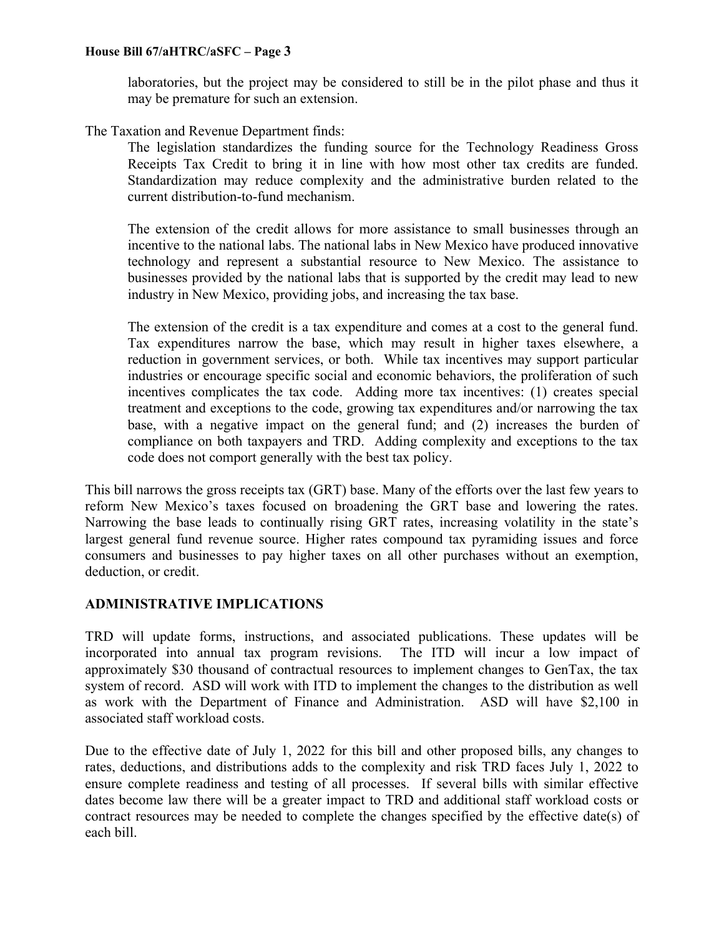## **House Bill 67/aHTRC/aSFC – Page 3**

laboratories, but the project may be considered to still be in the pilot phase and thus it may be premature for such an extension.

### The Taxation and Revenue Department finds:

The legislation standardizes the funding source for the Technology Readiness Gross Receipts Tax Credit to bring it in line with how most other tax credits are funded. Standardization may reduce complexity and the administrative burden related to the current distribution-to-fund mechanism.

The extension of the credit allows for more assistance to small businesses through an incentive to the national labs. The national labs in New Mexico have produced innovative technology and represent a substantial resource to New Mexico. The assistance to businesses provided by the national labs that is supported by the credit may lead to new industry in New Mexico, providing jobs, and increasing the tax base.

The extension of the credit is a tax expenditure and comes at a cost to the general fund. Tax expenditures narrow the base, which may result in higher taxes elsewhere, a reduction in government services, or both. While tax incentives may support particular industries or encourage specific social and economic behaviors, the proliferation of such incentives complicates the tax code. Adding more tax incentives: (1) creates special treatment and exceptions to the code, growing tax expenditures and/or narrowing the tax base, with a negative impact on the general fund; and (2) increases the burden of compliance on both taxpayers and TRD. Adding complexity and exceptions to the tax code does not comport generally with the best tax policy.

This bill narrows the gross receipts tax (GRT) base. Many of the efforts over the last few years to reform New Mexico's taxes focused on broadening the GRT base and lowering the rates. Narrowing the base leads to continually rising GRT rates, increasing volatility in the state's largest general fund revenue source. Higher rates compound tax pyramiding issues and force consumers and businesses to pay higher taxes on all other purchases without an exemption, deduction, or credit.

## **ADMINISTRATIVE IMPLICATIONS**

TRD will update forms, instructions, and associated publications. These updates will be incorporated into annual tax program revisions. The ITD will incur a low impact of approximately \$30 thousand of contractual resources to implement changes to GenTax, the tax system of record. ASD will work with ITD to implement the changes to the distribution as well as work with the Department of Finance and Administration. ASD will have \$2,100 in associated staff workload costs.

Due to the effective date of July 1, 2022 for this bill and other proposed bills, any changes to rates, deductions, and distributions adds to the complexity and risk TRD faces July 1, 2022 to ensure complete readiness and testing of all processes. If several bills with similar effective dates become law there will be a greater impact to TRD and additional staff workload costs or contract resources may be needed to complete the changes specified by the effective date(s) of each bill.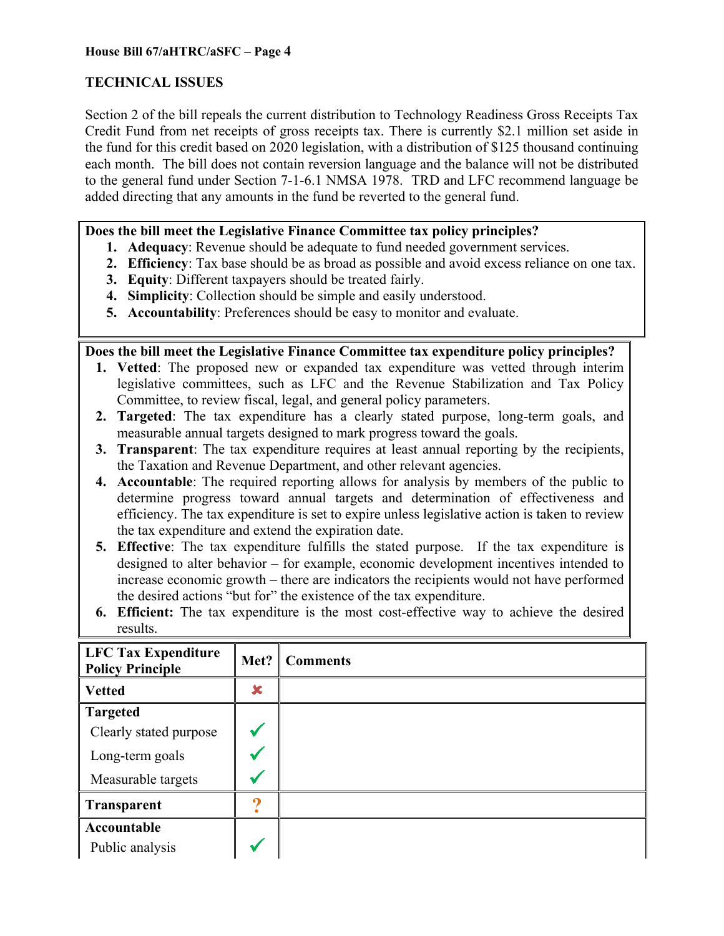# **TECHNICAL ISSUES**

Section 2 of the bill repeals the current distribution to Technology Readiness Gross Receipts Tax Credit Fund from net receipts of gross receipts tax. There is currently \$2.1 million set aside in the fund for this credit based on 2020 legislation, with a distribution of \$125 thousand continuing each month. The bill does not contain reversion language and the balance will not be distributed to the general fund under Section 7-1-6.1 NMSA 1978. TRD and LFC recommend language be added directing that any amounts in the fund be reverted to the general fund.

# **Does the bill meet the Legislative Finance Committee tax policy principles?**

- **1. Adequacy**: Revenue should be adequate to fund needed government services.
- **2. Efficiency**: Tax base should be as broad as possible and avoid excess reliance on one tax.
- **3. Equity**: Different taxpayers should be treated fairly.
- **4. Simplicity**: Collection should be simple and easily understood.
- **5. Accountability**: Preferences should be easy to monitor and evaluate.

**Does the bill meet the Legislative Finance Committee tax expenditure policy principles?** 

- **1. Vetted**: The proposed new or expanded tax expenditure was vetted through interim legislative committees, such as LFC and the Revenue Stabilization and Tax Policy Committee, to review fiscal, legal, and general policy parameters.
- **2. Targeted**: The tax expenditure has a clearly stated purpose, long-term goals, and measurable annual targets designed to mark progress toward the goals.
- **3. Transparent**: The tax expenditure requires at least annual reporting by the recipients, the Taxation and Revenue Department, and other relevant agencies.
- **4. Accountable**: The required reporting allows for analysis by members of the public to determine progress toward annual targets and determination of effectiveness and efficiency. The tax expenditure is set to expire unless legislative action is taken to review the tax expenditure and extend the expiration date.
- **5. Effective**: The tax expenditure fulfills the stated purpose. If the tax expenditure is designed to alter behavior – for example, economic development incentives intended to increase economic growth – there are indicators the recipients would not have performed the desired actions "but for" the existence of the tax expenditure.
- **6. Efficient:** The tax expenditure is the most cost-effective way to achieve the desired results.

| LFC Tax Expenditure<br><b>Policy Principle</b> | Met? | <b>Comments</b> |
|------------------------------------------------|------|-----------------|
| <b>Vetted</b>                                  | ×    |                 |
| <b>Targeted</b>                                |      |                 |
| Clearly stated purpose                         |      |                 |
| Long-term goals                                |      |                 |
| Measurable targets                             |      |                 |
| <b>Transparent</b>                             |      |                 |
| Accountable                                    |      |                 |
| Public analysis                                |      |                 |